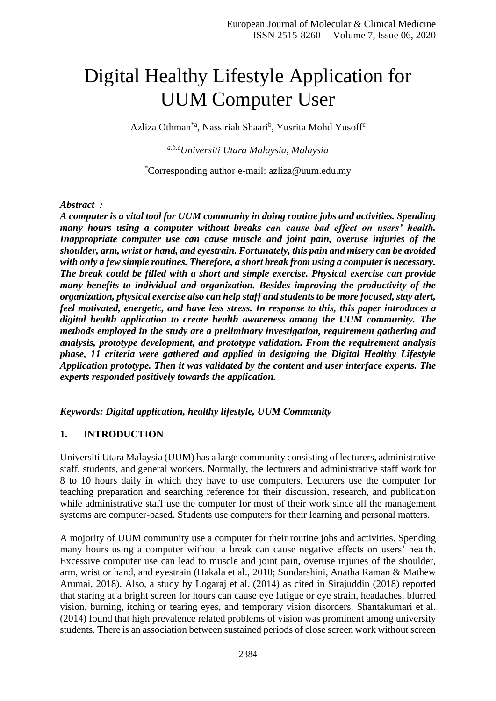# Digital Healthy Lifestyle Application for UUM Computer User

Azliza Othman<sup>\*a</sup>, Nassiriah Shaari<sup>b</sup>, Yusrita Mohd Yusoff<sup>c</sup>

*a,b,cUniversiti Utara Malaysia, Malaysia*

\*Corresponding author e-mail: azliza@uum.edu.my

#### *Abstract :*

*A computer is a vital tool for UUM community in doing routine jobs and activities. Spending many hours using a computer without breaks can cause bad effect on users' health. Inappropriate computer use can cause muscle and joint pain, overuse injuries of the shoulder, arm, wrist or hand, and eyestrain. Fortunately, this pain and misery can be avoided with only a few simple routines. Therefore, a short break from using a computer is necessary. The break could be filled with a short and simple exercise. Physical exercise can provide many benefits to individual and organization. Besides improving the productivity of the organization, physical exercise also can help staff and students to be more focused, stay alert, feel motivated, energetic, and have less stress. In response to this, this paper introduces a digital health application to create health awareness among the UUM community. The methods employed in the study are a preliminary investigation, requirement gathering and analysis, prototype development, and prototype validation. From the requirement analysis phase, 11 criteria were gathered and applied in designing the Digital Healthy Lifestyle Application prototype. Then it was validated by the content and user interface experts. The experts responded positively towards the application.*

#### *Keywords: Digital application, healthy lifestyle, UUM Community*

#### **1. INTRODUCTION**

Universiti Utara Malaysia (UUM) has a large community consisting of lecturers, administrative staff, students, and general workers. Normally, the lecturers and administrative staff work for 8 to 10 hours daily in which they have to use computers. Lecturers use the computer for teaching preparation and searching reference for their discussion, research, and publication while administrative staff use the computer for most of their work since all the management systems are computer-based. Students use computers for their learning and personal matters.

A mojority of UUM community use a computer for their routine jobs and activities. Spending many hours using a computer without a break can cause negative effects on users' health. Excessive computer use can lead to muscle and joint pain, overuse injuries of the shoulder, arm, wrist or hand, and eyestrain (Hakala et al., 2010; Sundarshini, Anatha Raman & Mathew Arumai, 2018). Also, a study by Logaraj et al. (2014) as cited in Sirajuddin (2018) reported that staring at a bright screen for hours can cause eye fatigue or eye strain, headaches, blurred vision, burning, itching or tearing eyes, and temporary vision disorders. Shantakumari et al. (2014) found that high prevalence related problems of vision was prominent among university students. There is an association between sustained periods of close screen work without screen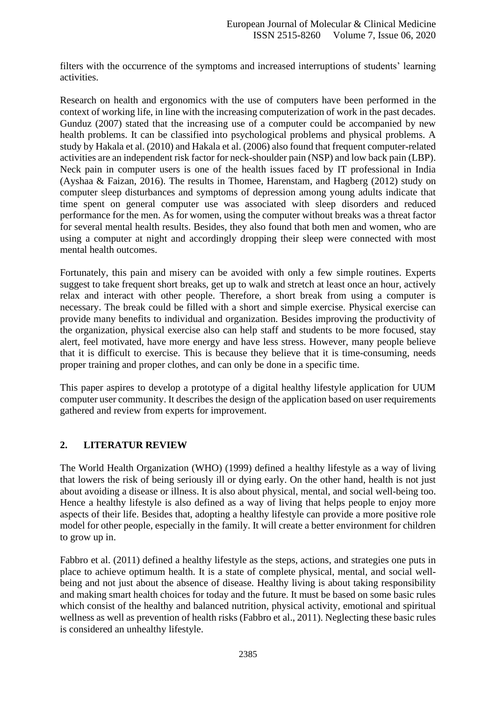filters with the occurrence of the symptoms and increased interruptions of students' learning activities.

Research on health and ergonomics with the use of computers have been performed in the context of working life, in line with the increasing computerization of work in the past decades. Gunduz (2007) stated that the increasing use of a computer could be accompanied by new health problems. It can be classified into psychological problems and physical problems. A study by Hakala et al. (2010) and Hakala et al. (2006) also found that frequent computer-related activities are an independent risk factor for neck-shoulder pain (NSP) and low back pain (LBP). Neck pain in computer users is one of the health issues faced by IT professional in India (Ayshaa & Faizan, 2016). The results in Thomee, Harenstam, and Hagberg (2012) study on computer sleep disturbances and symptoms of depression among young adults indicate that time spent on general computer use was associated with sleep disorders and reduced performance for the men. As for women, using the computer without breaks was a threat factor for several mental health results. Besides, they also found that both men and women, who are using a computer at night and accordingly dropping their sleep were connected with most mental health outcomes.

Fortunately, this pain and misery can be avoided with only a few simple routines. Experts suggest to take frequent short breaks, get up to walk and stretch at least once an hour, actively relax and interact with other people. Therefore, a short break from using a computer is necessary. The break could be filled with a short and simple exercise. Physical exercise can provide many benefits to individual and organization. Besides improving the productivity of the organization, physical exercise also can help staff and students to be more focused, stay alert, feel motivated, have more energy and have less stress. However, many people believe that it is difficult to exercise. This is because they believe that it is time-consuming, needs proper training and proper clothes, and can only be done in a specific time.

This paper aspires to develop a prototype of a digital healthy lifestyle application for UUM computer user community. It describes the design of the application based on user requirements gathered and review from experts for improvement.

## **2. LITERATUR REVIEW**

The World Health Organization (WHO) (1999) defined a healthy lifestyle as a way of living that lowers the risk of being seriously ill or dying early. On the other hand, health is not just about avoiding a disease or illness. It is also about physical, mental, and social well-being too. Hence a healthy lifestyle is also defined as a way of living that helps people to enjoy more aspects of their life. Besides that, adopting a healthy lifestyle can provide a more positive role model for other people, especially in the family. It will create a better environment for children to grow up in.

Fabbro et al. (2011) defined a healthy lifestyle as the steps, actions, and strategies one puts in place to achieve optimum health. It is a state of complete physical, mental, and social wellbeing and not just about the absence of disease. Healthy living is about taking responsibility and making smart health choices for today and the future. It must be based on some basic rules which consist of the healthy and balanced nutrition, physical activity, emotional and spiritual wellness as well as prevention of health risks (Fabbro et al., 2011). Neglecting these basic rules is considered an unhealthy lifestyle.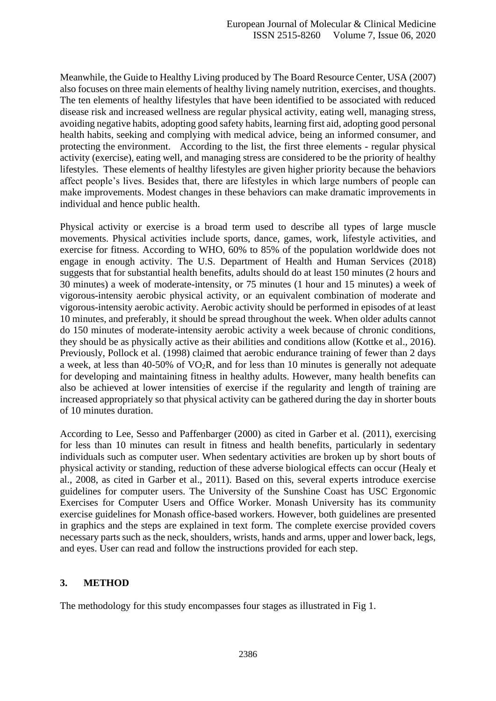Meanwhile, the Guide to Healthy Living produced by The Board Resource Center, USA (2007) also focuses on three main elements of healthy living namely nutrition, exercises, and thoughts. The ten elements of healthy lifestyles that have been identified to be associated with reduced disease risk and increased wellness are regular physical activity, eating well, managing stress, avoiding negative habits, adopting good safety habits, learning first aid, adopting good personal health habits, seeking and complying with medical advice, being an informed consumer, and protecting the environment. According to the list, the first three elements - regular physical activity (exercise), eating well, and managing stress are considered to be the priority of healthy lifestyles. These elements of healthy lifestyles are given higher priority because the behaviors affect people's lives. Besides that, there are lifestyles in which large numbers of people can make improvements. Modest changes in these behaviors can make dramatic improvements in individual and hence public health.

Physical activity or exercise is a broad term used to describe all types of large muscle movements. Physical activities include sports, dance, games, work, lifestyle activities, and exercise for fitness. According to WHO, 60% to 85% of the population worldwide does not engage in enough activity. The U.S. Department of Health and Human Services (2018) suggests that for substantial health benefits, adults should do at least 150 minutes (2 hours and 30 minutes) a week of moderate-intensity, or 75 minutes (1 hour and 15 minutes) a week of vigorous-intensity aerobic physical activity, or an equivalent combination of moderate and vigorous-intensity aerobic activity. Aerobic activity should be performed in episodes of at least 10 minutes, and preferably, it should be spread throughout the week. When older adults cannot do 150 minutes of moderate-intensity aerobic activity a week because of chronic conditions, they should be as physically active as their abilities and conditions allow (Kottke et al., 2016). Previously, Pollock et al. (1998) claimed that aerobic endurance training of fewer than 2 days a week, at less than 40-50% of VO2R, and for less than 10 minutes is generally not adequate for developing and maintaining fitness in healthy adults. However, many health benefits can also be achieved at lower intensities of exercise if the regularity and length of training are increased appropriately so that physical activity can be gathered during the day in shorter bouts of 10 minutes duration.

According to Lee, Sesso and Paffenbarger (2000) as cited in Garber et al. (2011), exercising for less than 10 minutes can result in fitness and health benefits, particularly in sedentary individuals such as computer user. When sedentary activities are broken up by short bouts of physical activity or standing, reduction of these adverse biological effects can occur (Healy et al., 2008, as cited in Garber et al., 2011). Based on this, several experts introduce exercise guidelines for computer users. The University of the Sunshine Coast has USC Ergonomic Exercises for Computer Users and Office Worker. Monash University has its community exercise guidelines for Monash office-based workers. However, both guidelines are presented in graphics and the steps are explained in text form. The complete exercise provided covers necessary parts such as the neck, shoulders, wrists, hands and arms, upper and lower back, legs, and eyes. User can read and follow the instructions provided for each step.

#### **3. METHOD**

The methodology for this study encompasses four stages as illustrated in Fig 1.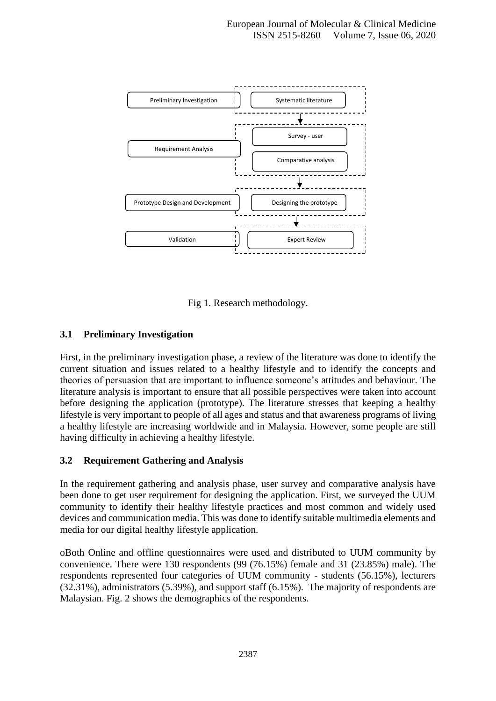

Fig 1. Research methodology.

### **3.1 Preliminary Investigation**

First, in the preliminary investigation phase, a review of the literature was done to identify the current situation and issues related to a healthy lifestyle and to identify the concepts and theories of persuasion that are important to influence someone's attitudes and behaviour. The literature analysis is important to ensure that all possible perspectives were taken into account before designing the application (prototype). The literature stresses that keeping a healthy lifestyle is very important to people of all ages and status and that awareness programs of living a healthy lifestyle are increasing worldwide and in Malaysia. However, some people are still having difficulty in achieving a healthy lifestyle.

#### **3.2 Requirement Gathering and Analysis**

In the requirement gathering and analysis phase, user survey and comparative analysis have been done to get user requirement for designing the application. First, we surveyed the UUM community to identify their healthy lifestyle practices and most common and widely used devices and communication media. This was done to identify suitable multimedia elements and media for our digital healthy lifestyle application.

oBoth Online and offline questionnaires were used and distributed to UUM community by convenience. There were 130 respondents (99 (76.15%) female and 31 (23.85%) male). The respondents represented four categories of UUM community - students (56.15%), lecturers (32.31%), administrators (5.39%), and support staff (6.15%). The majority of respondents are Malaysian. Fig. 2 shows the demographics of the respondents.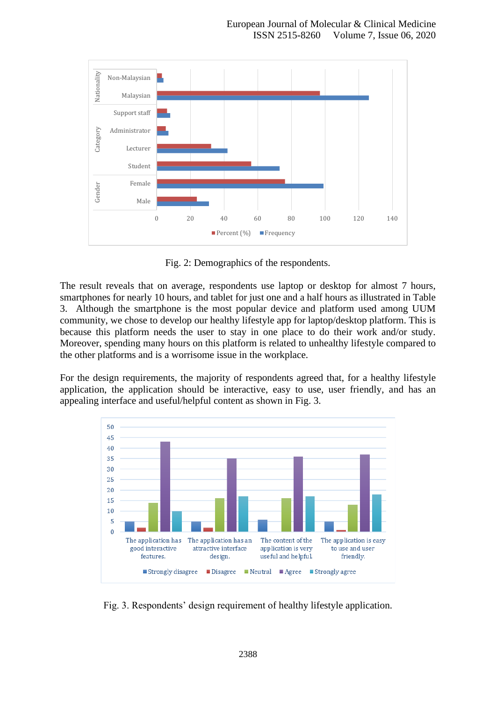

Fig. 2: Demographics of the respondents.

The result reveals that on average, respondents use laptop or desktop for almost 7 hours, smartphones for nearly 10 hours, and tablet for just one and a half hours as illustrated in Table 3. Although the smartphone is the most popular device and platform used among UUM community, we chose to develop our healthy lifestyle app for laptop/desktop platform. This is because this platform needs the user to stay in one place to do their work and/or study. Moreover, spending many hours on this platform is related to unhealthy lifestyle compared to the other platforms and is a worrisome issue in the workplace.

For the design requirements, the majority of respondents agreed that, for a healthy lifestyle application, the application should be interactive, easy to use, user friendly, and has an appealing interface and useful/helpful content as shown in Fig. 3.



Fig. 3. Respondents' design requirement of healthy lifestyle application.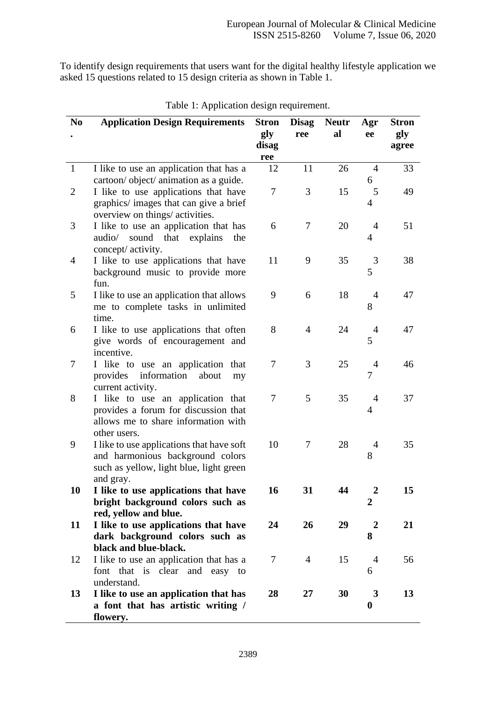To identify design requirements that users want for the digital healthy lifestyle application we asked 15 questions related to 15 design criteria as shown in Table 1.

| N <sub>0</sub> | <b>Application Design Requirements</b>                                                                                                | <b>Stron</b>        | <b>Disag</b>   | <b>Neutr</b> | Agr                   | <b>Stron</b> |
|----------------|---------------------------------------------------------------------------------------------------------------------------------------|---------------------|----------------|--------------|-----------------------|--------------|
|                |                                                                                                                                       | gly<br>disag<br>ree | ree            | al           | ee                    | gly<br>agree |
| $\mathbf{1}$   | I like to use an application that has a<br>cartoon/object/ animation as a guide.                                                      | 12                  | 11             | 26           | 4<br>6                | 33           |
| $\overline{2}$ | I like to use applications that have<br>graphics/ images that can give a brief<br>overview on things/ activities.                     | 7                   | 3              | 15           | 5<br>$\overline{4}$   | 49           |
| 3              | I like to use an application that has<br>audio/ sound that explains<br>the<br>concept/ activity.                                      | 6                   | 7              | 20           | $\overline{4}$<br>4   | 51           |
| $\overline{4}$ | I like to use applications that have<br>background music to provide more<br>fun.                                                      | 11                  | 9              | 35           | 3<br>5                | 38           |
| 5              | I like to use an application that allows<br>me to complete tasks in unlimited<br>time.                                                | 9                   | 6              | 18           | $\overline{4}$<br>8   | 47           |
| 6              | I like to use applications that often<br>give words of encouragement and<br>incentive.                                                | 8                   | $\overline{4}$ | 24           | $\overline{4}$<br>5   | 47           |
| 7              | I like to use an application that<br>provides information<br>about<br>my<br>current activity.                                         | 7                   | 3              | 25           | $\overline{4}$<br>7   | 46           |
| 8              | I like to use an application that<br>provides a forum for discussion that<br>allows me to share information with<br>other users.      | $\tau$              | 5              | 35           | $\overline{4}$<br>4   | 37           |
| 9              | I like to use applications that have soft<br>and harmonious background colors<br>such as yellow, light blue, light green<br>and gray. | 10                  | 7              | 28           | 4<br>8                | 35           |
| 10             | I like to use applications that have<br>bright background colors such as<br>red, yellow and blue.                                     | 16                  | 31             | 44           | $\overline{2}$<br>2   | 15           |
| 11             | I like to use applications that have<br>dark background colors such as<br>black and blue-black.                                       | 24                  | 26             | 29           | $\overline{2}$<br>8   | 21           |
| 12             | I like to use an application that has a<br>font that is clear and easy to<br>understand.                                              | $\tau$              | $\overline{4}$ | 15           | $\overline{4}$<br>6   | 56           |
| 13             | I like to use an application that has<br>a font that has artistic writing /<br>flowery.                                               | 28                  | 27             | 30           | 3<br>$\boldsymbol{0}$ | 13           |

|  |  |  | Table 1: Application design requirement. |  |
|--|--|--|------------------------------------------|--|
|  |  |  |                                          |  |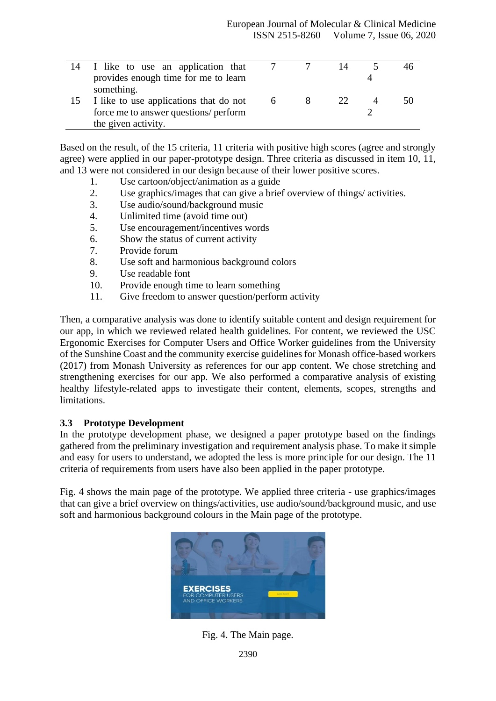|    | 14 I like to use an application that   |   | 14 |    |
|----|----------------------------------------|---|----|----|
|    | provides enough time for me to learn   |   |    |    |
|    | something.                             |   |    |    |
| 15 | I like to use applications that do not | 6 |    | 50 |
|    | force me to answer questions/ perform  |   |    |    |
|    | the given activity.                    |   |    |    |

Based on the result, of the 15 criteria, 11 criteria with positive high scores (agree and strongly agree) were applied in our paper-prototype design. Three criteria as discussed in item 10, 11, and 13 were not considered in our design because of their lower positive scores.

- 1. Use cartoon/object/animation as a guide
- 2. Use graphics/images that can give a brief overview of things/ activities.
- 3. Use audio/sound/background music
- 4. Unlimited time (avoid time out)
- 5. Use encouragement/incentives words
- 6. Show the status of current activity
- 7. Provide forum
- 8. Use soft and harmonious background colors
- 9. Use readable font
- 10. Provide enough time to learn something
- 11. Give freedom to answer question/perform activity

Then, a comparative analysis was done to identify suitable content and design requirement for our app, in which we reviewed related health guidelines. For content, we reviewed the USC Ergonomic Exercises for Computer Users and Office Worker guidelines from the University of the Sunshine Coast and the community exercise guidelines for Monash office-based workers (2017) from Monash University as references for our app content. We chose stretching and strengthening exercises for our app. We also performed a comparative analysis of existing healthy lifestyle-related apps to investigate their content, elements, scopes, strengths and limitations.

#### **3.3 Prototype Development**

In the prototype development phase, we designed a paper prototype based on the findings gathered from the preliminary investigation and requirement analysis phase. To make it simple and easy for users to understand, we adopted the less is more principle for our design. The 11 criteria of requirements from users have also been applied in the paper prototype.

Fig. 4 shows the main page of the prototype. We applied three criteria - use graphics/images that can give a brief overview on things/activities, use audio/sound/background music, and use soft and harmonious background colours in the Main page of the prototype.



Fig. 4. The Main page.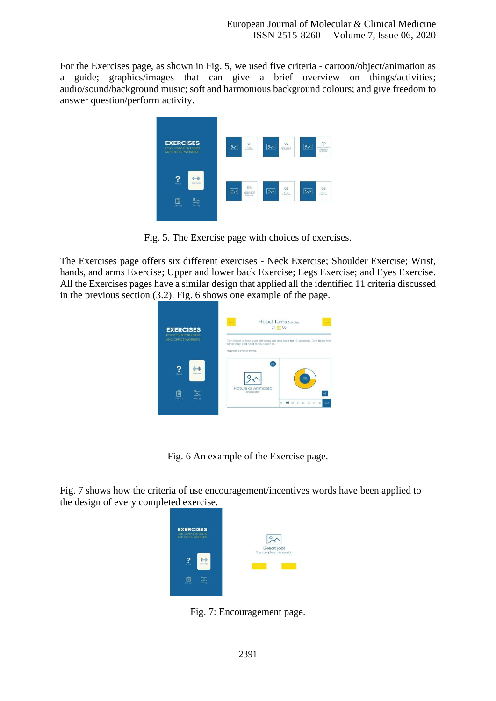For the Exercises page, as shown in Fig. 5, we used five criteria - cartoon/object/animation as a guide; graphics/images that can give a brief overview on things/activities; audio/sound/background music; soft and harmonious background colours; and give freedom to answer question/perform activity.



Fig. 5. The Exercise page with choices of exercises.

The Exercises page offers six different exercises - Neck Exercise; Shoulder Exercise; Wrist, hands, and arms Exercise; Upper and lower back Exercise; Legs Exercise; and Eyes Exercise. All the Exercises pages have a similar design that applied all the identified 11 criteria discussed in the previous section (3.2). Fig. 6 shows one example of the page.



Fig. 6 An example of the Exercise page.

Fig. 7 shows how the criteria of use encouragement/incentives words have been applied to the design of every completed exercise.



Fig. 7: Encouragement page.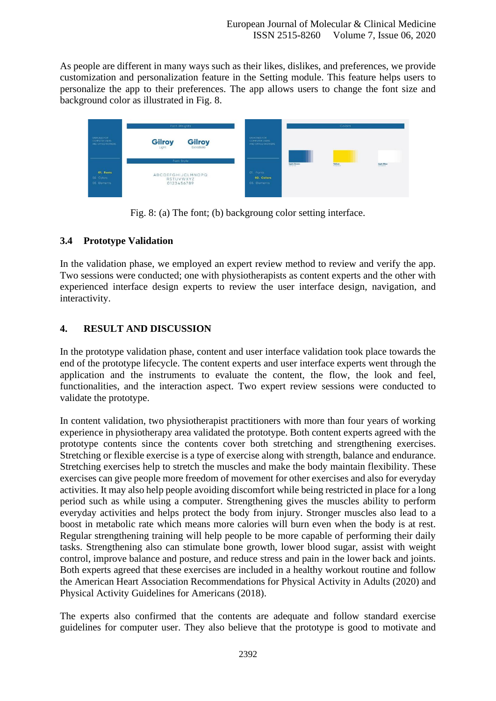As people are different in many ways such as their likes, dislikes, and preferences, we provide customization and personalization feature in the Setting module. This feature helps users to personalize the app to their preferences. The app allows users to change the font size and background color as illustrated in Fig. 8.



Fig. 8: (a) The font; (b) backgroung color setting interface.

### **3.4 Prototype Validation**

In the validation phase, we employed an expert review method to review and verify the app. Two sessions were conducted; one with physiotherapists as content experts and the other with experienced interface design experts to review the user interface design, navigation, and interactivity.

## **4. RESULT AND DISCUSSION**

In the prototype validation phase, content and user interface validation took place towards the end of the prototype lifecycle. The content experts and user interface experts went through the application and the instruments to evaluate the content, the flow, the look and feel, functionalities, and the interaction aspect. Two expert review sessions were conducted to validate the prototype.

In content validation, two physiotherapist practitioners with more than four years of working experience in physiotherapy area validated the prototype. Both content experts agreed with the prototype contents since the contents cover both stretching and strengthening exercises. Stretching or flexible exercise is a type of exercise along with strength, balance and endurance. Stretching exercises help to stretch the muscles and make the body maintain flexibility. These exercises can give people more freedom of movement for other exercises and also for everyday activities. It may also help people avoiding discomfort while being restricted in place for a long period such as while using a computer. Strengthening gives the muscles ability to perform everyday activities and helps protect the body from injury. Stronger muscles also lead to a boost in metabolic rate which means more calories will burn even when the body is at rest. Regular strengthening training will help people to be more capable of performing their daily tasks. Strengthening also can stimulate bone growth, lower blood sugar, assist with weight control, improve balance and posture, and reduce stress and pain in the lower back and joints. Both experts agreed that these exercises are included in a healthy workout routine and follow the American Heart Association Recommendations for Physical Activity in Adults (2020) and Physical Activity Guidelines for Americans (2018).

The experts also confirmed that the contents are adequate and follow standard exercise guidelines for computer user. They also believe that the prototype is good to motivate and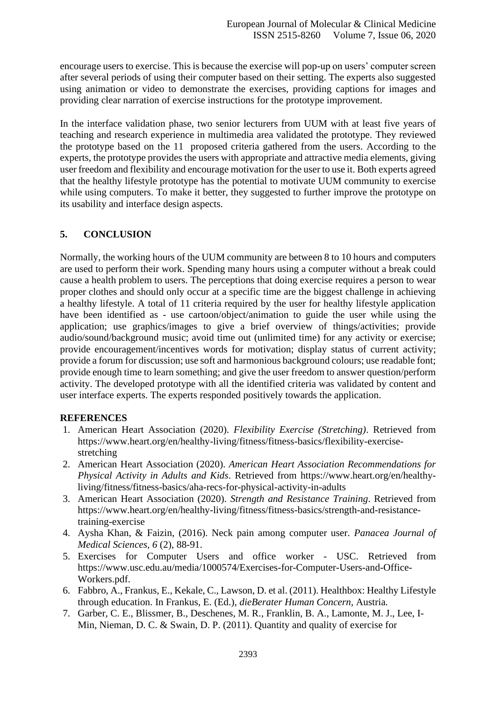encourage users to exercise. This is because the exercise will pop-up on users' computer screen after several periods of using their computer based on their setting. The experts also suggested using animation or video to demonstrate the exercises, providing captions for images and providing clear narration of exercise instructions for the prototype improvement.

In the interface validation phase, two senior lecturers from UUM with at least five years of teaching and research experience in multimedia area validated the prototype. They reviewed the prototype based on the 11 proposed criteria gathered from the users. According to the experts, the prototype provides the users with appropriate and attractive media elements, giving user freedom and flexibility and encourage motivation for the user to use it. Both experts agreed that the healthy lifestyle prototype has the potential to motivate UUM community to exercise while using computers. To make it better, they suggested to further improve the prototype on its usability and interface design aspects.

## **5. CONCLUSION**

Normally, the working hours of the UUM community are between 8 to 10 hours and computers are used to perform their work. Spending many hours using a computer without a break could cause a health problem to users. The perceptions that doing exercise requires a person to wear proper clothes and should only occur at a specific time are the biggest challenge in achieving a healthy lifestyle. A total of 11 criteria required by the user for healthy lifestyle application have been identified as - use cartoon/object/animation to guide the user while using the application; use graphics/images to give a brief overview of things/activities; provide audio/sound/background music; avoid time out (unlimited time) for any activity or exercise; provide encouragement/incentives words for motivation; display status of current activity; provide a forum for discussion; use soft and harmonious background colours; use readable font; provide enough time to learn something; and give the user freedom to answer question/perform activity. The developed prototype with all the identified criteria was validated by content and user interface experts. The experts responded positively towards the application.

#### **REFERENCES**

- 1. American Heart Association (2020). *Flexibility Exercise (Stretching)*. Retrieved from https://www.heart.org/en/healthy-living/fitness/fitness-basics/flexibility-exercisestretching
- 2. American Heart Association (2020). *American Heart Association Recommendations for Physical Activity in Adults and Kids*. Retrieved from https://www.heart.org/en/healthyliving/fitness/fitness-basics/aha-recs-for-physical-activity-in-adults
- 3. American Heart Association (2020). *Strength and Resistance Training*. Retrieved from https://www.heart.org/en/healthy-living/fitness/fitness-basics/strength-and-resistancetraining-exercise
- 4. Aysha Khan, & Faizin, (2016). Neck pain among computer user. *Panacea Journal of Medical Sciences, 6* (2), 88-91.
- 5. Exercises for Computer Users and office worker USC. Retrieved from https://www.usc.edu.au/media/1000574/Exercises-for-Computer-Users-and-Office-Workers.pdf.
- 6. Fabbro, A., Frankus, E., Kekale, C., Lawson, D. et al. (2011). Healthbox: Healthy Lifestyle through education. In Frankus, E. (Ed.), *dieBerater Human Concern,* Austria*.*
- 7. Garber, C. E., Blissmer, B., Deschenes, M. R., Franklin, B. A., Lamonte, M. J., Lee, I-Min, Nieman, D. C. & Swain, D. P. (2011). Quantity and quality of exercise for